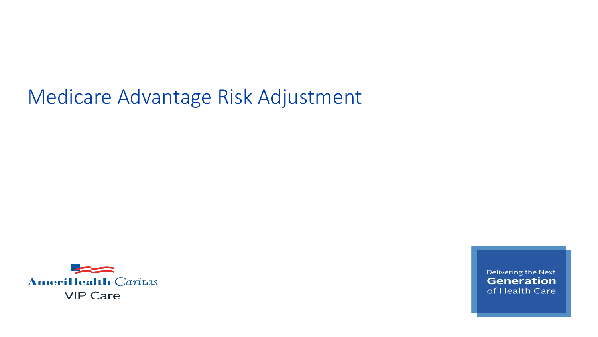# Medicare Advantage Risk Adjustment



Delivering the Next **Generation** of Health Care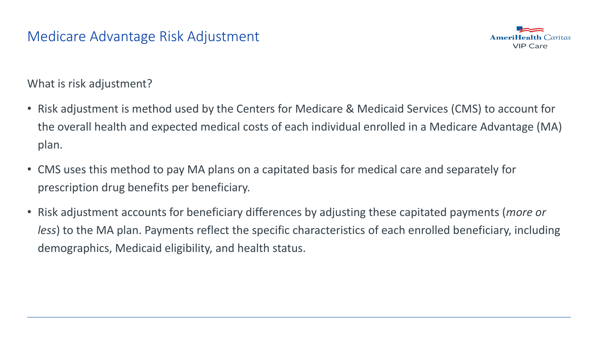

What is risk adjustment?

- Risk adjustment is method used by the Centers for Medicare & Medicaid Services (CMS) to account for the overall health and expected medical costs of each individual enrolled in a Medicare Advantage (MA) plan.
- CMS uses this method to pay MA plans on a capitated basis for medical care and separately for prescription drug benefits per beneficiary.
- Risk adjustment accounts for beneficiary differences by adjusting these capitated payments (*more or less*) to the MA plan. Payments reflect the specific characteristics of each enrolled beneficiary, including demographics, Medicaid eligibility, and health status.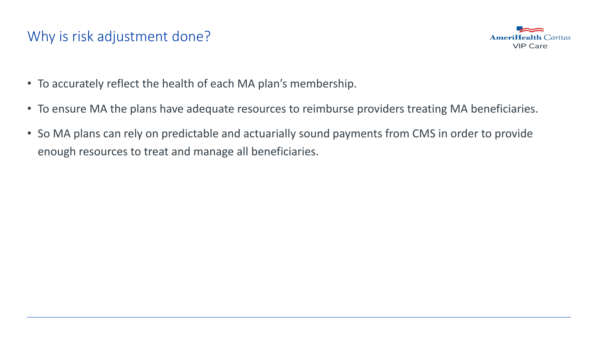# Why is risk adjustment done?



- To accurately reflect the health of each MA plan's membership.
- To ensure MA the plans have adequate resources to reimburse providers treating MA beneficiaries.
- So MA plans can rely on predictable and actuarially sound payments from CMS in order to provide enough resources to treat and manage all beneficiaries.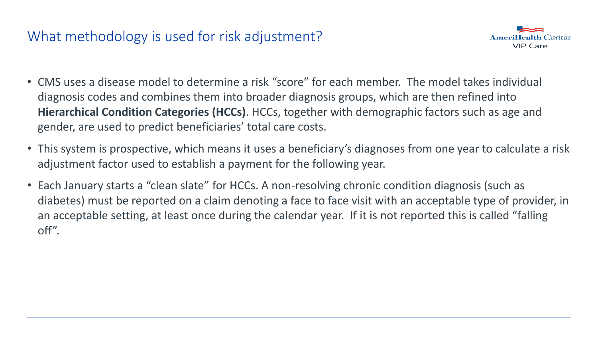# What methodology is used for risk adjustment?



- CMS uses a disease model to determine a risk "score" for each member. The model takes individual diagnosis codes and combines them into broader diagnosis groups, which are then refined into **Hierarchical Condition Categories (HCCs)**. HCCs, together with demographic factors such as age and gender, are used to predict beneficiaries' total care costs.
- This system is prospective, which means it uses a beneficiary's diagnoses from one year to calculate a risk adjustment factor used to establish a payment for the following year.
- Each January starts a "clean slate" for HCCs. A non-resolving chronic condition diagnosis (such as diabetes) must be reported on a claim denoting a face to face visit with an acceptable type of provider, in an acceptable setting, at least once during the calendar year. If it is not reported this is called "falling off".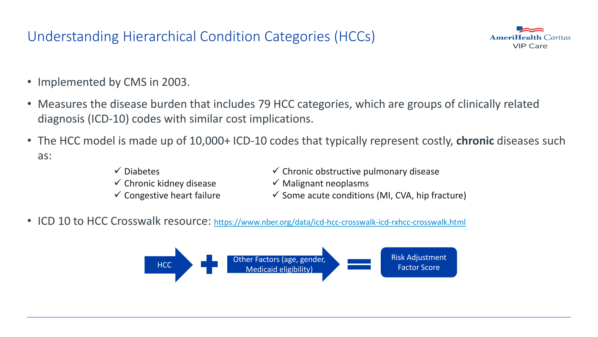# Understanding Hierarchical Condition Categories (HCCs)



- Implemented by CMS in 2003.
- Measures the disease burden that includes 79 HCC categories, which are groups of clinically related diagnosis (ICD-10) codes with similar cost implications.
- The HCC model is made up of 10,000+ ICD-10 codes that typically represent costly, **chronic** diseases such as:
	- $\checkmark$  Diabetes
	- $\checkmark$  Chronic kidney disease
	- $\checkmark$  Congestive heart failure
- $\checkmark$  Chronic obstructive pulmonary disease
- $\checkmark$  Malignant neoplasms
- $\checkmark$  Some acute conditions (MI, CVA, hip fracture)
- ICD 10 to HCC Crosswalk resource: <https://www.nber.org/data/icd-hcc-crosswalk-icd-rxhcc-crosswalk.html>

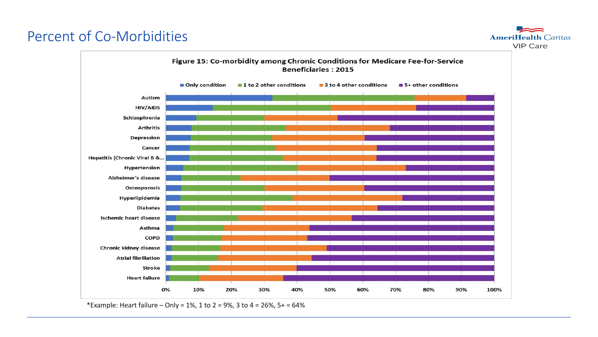# Percent of Co-Morbidities

**AmeriHealth Caritas VIP Care** 



\*Example: Heart failure – Only = 1%, 1 to 2 = 9%, 3 to 4 = 26%, 5+ = 64%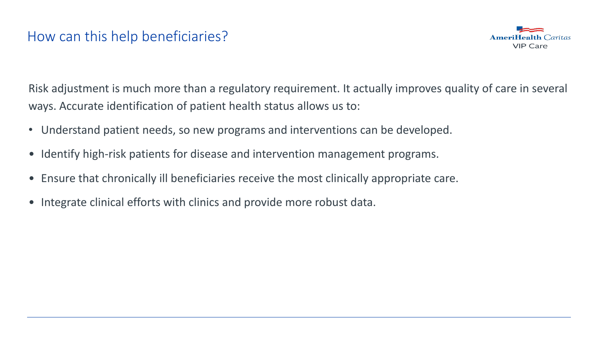

Risk adjustment is much more than a regulatory requirement. It actually improves quality of care in several ways. Accurate identification of patient health status allows us to:

- Understand patient needs, so new programs and interventions can be developed.
- Identify high-risk patients for disease and intervention management programs.
- Ensure that chronically ill beneficiaries receive the most clinically appropriate care.
- Integrate clinical efforts with clinics and provide more robust data.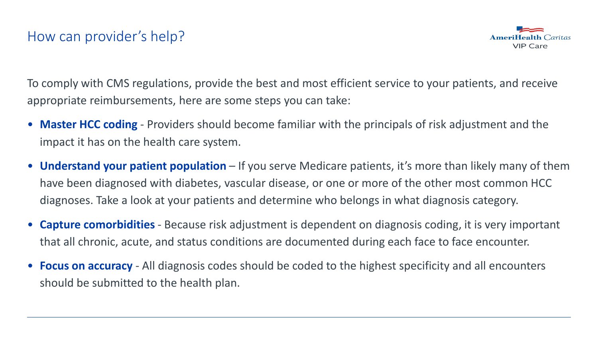

To comply with CMS regulations, provide the best and most efficient service to your patients, and receive appropriate reimbursements, here are some steps you can take:

- **Master HCC coding**  Providers should become familiar with the principals of risk adjustment and the impact it has on the health care system.
- **Understand your patient population**  If you serve Medicare patients, it's more than likely many of them have been diagnosed with diabetes, vascular disease, or one or more of the other most common HCC diagnoses. Take a look at your patients and determine who belongs in what diagnosis category.
- **Capture comorbidities**  Because risk adjustment is dependent on diagnosis coding, it is very important that all chronic, acute, and status conditions are documented during each face to face encounter.
- **Focus on accuracy**  All diagnosis codes should be coded to the highest specificity and all encounters should be submitted to the health plan.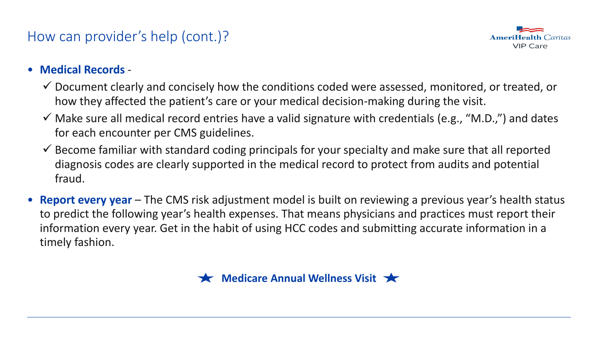# How can provider's help (cont.)?



#### • **Medical Records** -

- $\checkmark$  Document clearly and concisely how the conditions coded were assessed, monitored, or treated, or how they affected the patient's care or your medical decision-making during the visit.
- $\checkmark$  Make sure all medical record entries have a valid signature with credentials (e.g., "M.D.,") and dates for each encounter per CMS guidelines.
- $\checkmark$  Become familiar with standard coding principals for your specialty and make sure that all reported diagnosis codes are clearly supported in the medical record to protect from audits and potential fraud.
- **Report every year** The CMS risk adjustment model is built on reviewing a previous year's health status to predict the following year's health expenses. That means physicians and practices must report their information every year. Get in the habit of using HCC codes and submitting accurate information in a timely fashion.

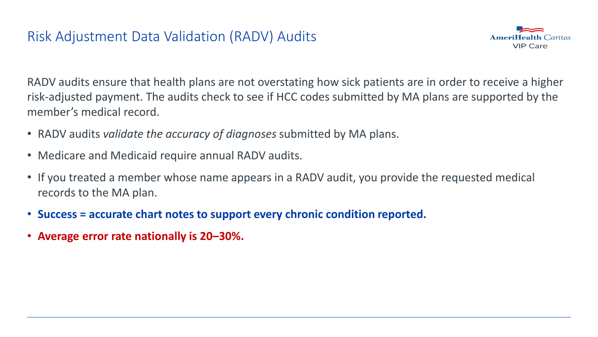#### Risk Adjustment Data Validation (RADV) Audits



RADV audits ensure that health plans are not overstating how sick patients are in order to receive a higher risk-adjusted payment. The audits check to see if HCC codes submitted by MA plans are supported by the member's medical record.

- RADV audits *validate the accuracy of diagnoses* submitted by MA plans.
- Medicare and Medicaid require annual RADV audits.
- If you treated a member whose name appears in a RADV audit, you provide the requested medical records to the MA plan.
- **Success = accurate chart notes to support every chronic condition reported.**
- **Average error rate nationally is 20–30%.**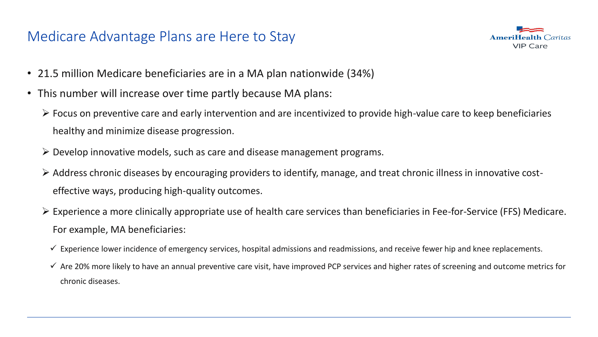#### Medicare Advantage Plans are Here to Stay



- 21.5 million Medicare beneficiaries are in a MA plan nationwide (34%)
- This number will increase over time partly because MA plans:
	- $\triangleright$  Focus on preventive care and early intervention and are incentivized to provide high-value care to keep beneficiaries healthy and minimize disease progression.
	- $\triangleright$  Develop innovative models, such as care and disease management programs.
	- $\triangleright$  Address chronic diseases by encouraging providers to identify, manage, and treat chronic illness in innovative costeffective ways, producing high-quality outcomes.
	- $\triangleright$  Experience a more clinically appropriate use of health care services than beneficiaries in Fee-for-Service (FFS) Medicare. For example, MA beneficiaries:
		- $\checkmark$  Experience lower incidence of emergency services, hospital admissions and readmissions, and receive fewer hip and knee replacements.
		- $\checkmark$  Are 20% more likely to have an annual preventive care visit, have improved PCP services and higher rates of screening and outcome metrics for chronic diseases.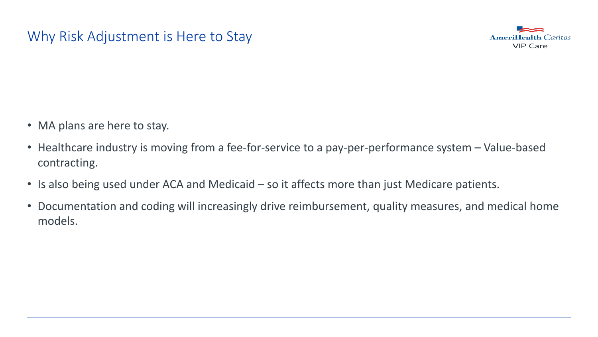# Why Risk Adjustment is Here to Stay



- MA plans are here to stay.
- Healthcare industry is moving from a fee-for-service to a pay-per-performance system Value-based contracting.
- Is also being used under ACA and Medicaid so it affects more than just Medicare patients.
- Documentation and coding will increasingly drive reimbursement, quality measures, and medical home models.